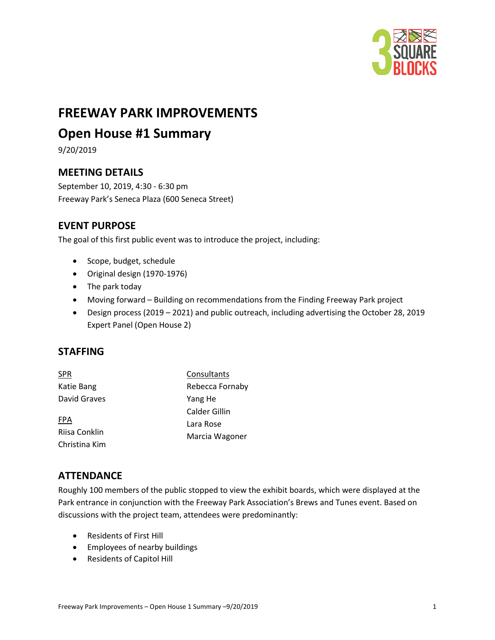

# **FREEWAY PARK IMPROVEMENTS**

## **Open House #1 Summary**

9/20/2019

### **MEETING DETAILS**

September 10, 2019, 4:30 - 6:30 pm Freeway Park's Seneca Plaza (600 Seneca Street)

### **EVENT PURPOSE**

The goal of this first public event was to introduce the project, including:

- Scope, budget, schedule
- Original design (1970-1976)
- The park today
- Moving forward Building on recommendations from the Finding Freeway Park project
- Design process (2019 2021) and public outreach, including advertising the October 28, 2019 Expert Panel (Open House 2)

#### **STAFFING**

| <b>SPR</b>    | Consultants     |  |
|---------------|-----------------|--|
| Katie Bang    | Rebecca Fornaby |  |
| David Graves  | Yang He         |  |
| <b>FPA</b>    | Calder Gillin   |  |
|               | Lara Rose       |  |
| Riisa Conklin | Marcia Wagoner  |  |
| Christina Kim |                 |  |

### **ATTENDANCE**

Roughly 100 members of the public stopped to view the exhibit boards, which were displayed at the Park entrance in conjunction with the Freeway Park Association's Brews and Tunes event. Based on discussions with the project team, attendees were predominantly:

- Residents of First Hill
- Employees of nearby buildings
- Residents of Capitol Hill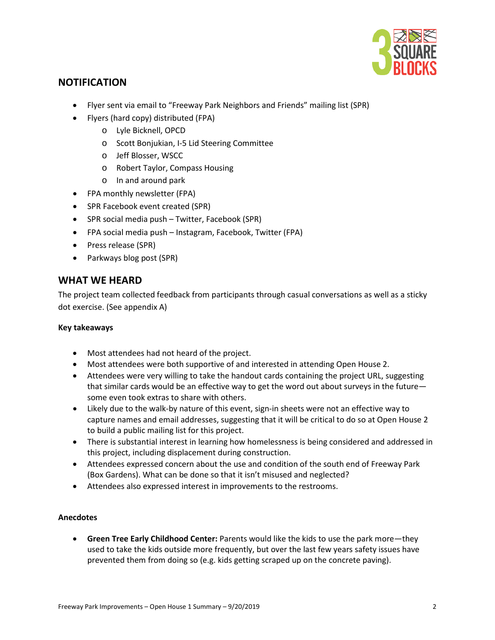

#### **NOTIFICATION**

- Flyer sent via email to "Freeway Park Neighbors and Friends" mailing list (SPR)
- Flyers (hard copy) distributed (FPA)
	- o Lyle Bicknell, OPCD
	- o Scott Bonjukian, I-5 Lid Steering Committee
	- o Jeff Blosser, WSCC
	- o Robert Taylor, Compass Housing
	- o In and around park
- FPA monthly newsletter (FPA)
- SPR Facebook event created (SPR)
- SPR social media push Twitter, Facebook (SPR)
- FPA social media push Instagram, Facebook, Twitter (FPA)
- Press release (SPR)
- Parkways blog post (SPR)

#### **WHAT WE HEARD**

The project team collected feedback from participants through casual conversations as well as a sticky dot exercise. (See appendix A)

#### **Key takeaways**

- Most attendees had not heard of the project.
- Most attendees were both supportive of and interested in attending Open House 2.
- Attendees were very willing to take the handout cards containing the project URL, suggesting that similar cards would be an effective way to get the word out about surveys in the future some even took extras to share with others.
- Likely due to the walk-by nature of this event, sign-in sheets were not an effective way to capture names and email addresses, suggesting that it will be critical to do so at Open House 2 to build a public mailing list for this project.
- There is substantial interest in learning how homelessness is being considered and addressed in this project, including displacement during construction.
- Attendees expressed concern about the use and condition of the south end of Freeway Park (Box Gardens). What can be done so that it isn't misused and neglected?
- Attendees also expressed interest in improvements to the restrooms.

#### **Anecdotes**

• **Green Tree Early Childhood Center:** Parents would like the kids to use the park more—they used to take the kids outside more frequently, but over the last few years safety issues have prevented them from doing so (e.g. kids getting scraped up on the concrete paving).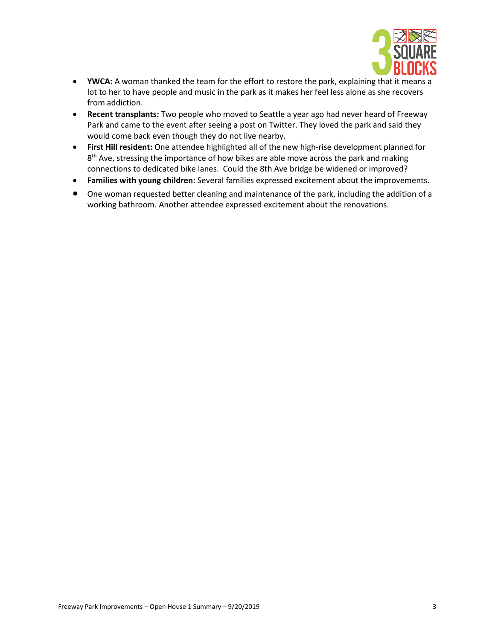

- **YWCA:** A woman thanked the team for the effort to restore the park, explaining that it means a lot to her to have people and music in the park as it makes her feel less alone as she recovers from addiction.
- **Recent transplants:** Two people who moved to Seattle a year ago had never heard of Freeway Park and came to the event after seeing a post on Twitter. They loved the park and said they would come back even though they do not live nearby.
- **First Hill resident:** One attendee highlighted all of the new high-rise development planned for 8<sup>th</sup> Ave, stressing the importance of how bikes are able move across the park and making connections to dedicated bike lanes. Could the 8th Ave bridge be widened or improved?
- **Families with young children:** Several families expressed excitement about the improvements.
- One woman requested better cleaning and maintenance of the park, including the addition of a working bathroom. Another attendee expressed excitement about the renovations.